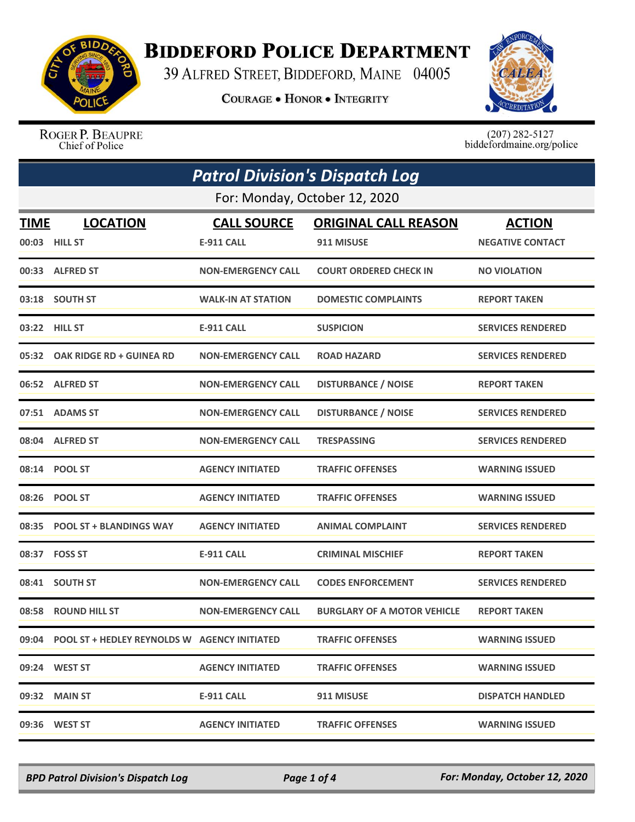

## **BIDDEFORD POLICE DEPARTMENT**

39 ALFRED STREET, BIDDEFORD, MAINE 04005

**COURAGE . HONOR . INTEGRITY** 



ROGER P. BEAUPRE Chief of Police

 $(207)$  282-5127 biddefordmaine.org/police

| <b>Patrol Division's Dispatch Log</b> |                                                    |                           |                                    |                          |  |
|---------------------------------------|----------------------------------------------------|---------------------------|------------------------------------|--------------------------|--|
| For: Monday, October 12, 2020         |                                                    |                           |                                    |                          |  |
| <b>TIME</b>                           | <b>LOCATION</b>                                    | <b>CALL SOURCE</b>        | <b>ORIGINAL CALL REASON</b>        | <b>ACTION</b>            |  |
|                                       | 00:03 HILL ST                                      | <b>E-911 CALL</b>         | 911 MISUSE                         | <b>NEGATIVE CONTACT</b>  |  |
|                                       | 00:33 ALFRED ST                                    | <b>NON-EMERGENCY CALL</b> | <b>COURT ORDERED CHECK IN</b>      | <b>NO VIOLATION</b>      |  |
|                                       | 03:18 SOUTH ST                                     | <b>WALK-IN AT STATION</b> | <b>DOMESTIC COMPLAINTS</b>         | <b>REPORT TAKEN</b>      |  |
| 03:22                                 | <b>HILL ST</b>                                     | <b>E-911 CALL</b>         | <b>SUSPICION</b>                   | <b>SERVICES RENDERED</b> |  |
|                                       | 05:32 OAK RIDGE RD + GUINEA RD                     | <b>NON-EMERGENCY CALL</b> | <b>ROAD HAZARD</b>                 | <b>SERVICES RENDERED</b> |  |
|                                       | 06:52 ALFRED ST                                    | <b>NON-EMERGENCY CALL</b> | <b>DISTURBANCE / NOISE</b>         | <b>REPORT TAKEN</b>      |  |
|                                       | 07:51 ADAMS ST                                     | <b>NON-EMERGENCY CALL</b> | <b>DISTURBANCE / NOISE</b>         | <b>SERVICES RENDERED</b> |  |
|                                       | 08:04 ALFRED ST                                    | <b>NON-EMERGENCY CALL</b> | <b>TRESPASSING</b>                 | <b>SERVICES RENDERED</b> |  |
|                                       | 08:14 POOL ST                                      | <b>AGENCY INITIATED</b>   | <b>TRAFFIC OFFENSES</b>            | <b>WARNING ISSUED</b>    |  |
|                                       | 08:26 POOL ST                                      | <b>AGENCY INITIATED</b>   | <b>TRAFFIC OFFENSES</b>            | <b>WARNING ISSUED</b>    |  |
| 08:35                                 | <b>POOL ST + BLANDINGS WAY</b>                     | <b>AGENCY INITIATED</b>   | <b>ANIMAL COMPLAINT</b>            | <b>SERVICES RENDERED</b> |  |
|                                       | 08:37 FOSS ST                                      | <b>E-911 CALL</b>         | <b>CRIMINAL MISCHIEF</b>           | <b>REPORT TAKEN</b>      |  |
| 08:41                                 | <b>SOUTH ST</b>                                    | <b>NON-EMERGENCY CALL</b> | <b>CODES ENFORCEMENT</b>           | <b>SERVICES RENDERED</b> |  |
|                                       | 08:58 ROUND HILL ST                                | <b>NON-EMERGENCY CALL</b> | <b>BURGLARY OF A MOTOR VEHICLE</b> | <b>REPORT TAKEN</b>      |  |
|                                       | 09:04 POOL ST + HEDLEY REYNOLDS W AGENCY INITIATED |                           | <b>TRAFFIC OFFENSES</b>            | <b>WARNING ISSUED</b>    |  |
|                                       | 09:24 WEST ST                                      | <b>AGENCY INITIATED</b>   | <b>TRAFFIC OFFENSES</b>            | <b>WARNING ISSUED</b>    |  |
|                                       | 09:32 MAIN ST                                      | <b>E-911 CALL</b>         | 911 MISUSE                         | <b>DISPATCH HANDLED</b>  |  |
|                                       | 09:36 WEST ST                                      | <b>AGENCY INITIATED</b>   | <b>TRAFFIC OFFENSES</b>            | <b>WARNING ISSUED</b>    |  |

*BPD Patrol Division's Dispatch Log Page 1 of 4 For: Monday, October 12, 2020*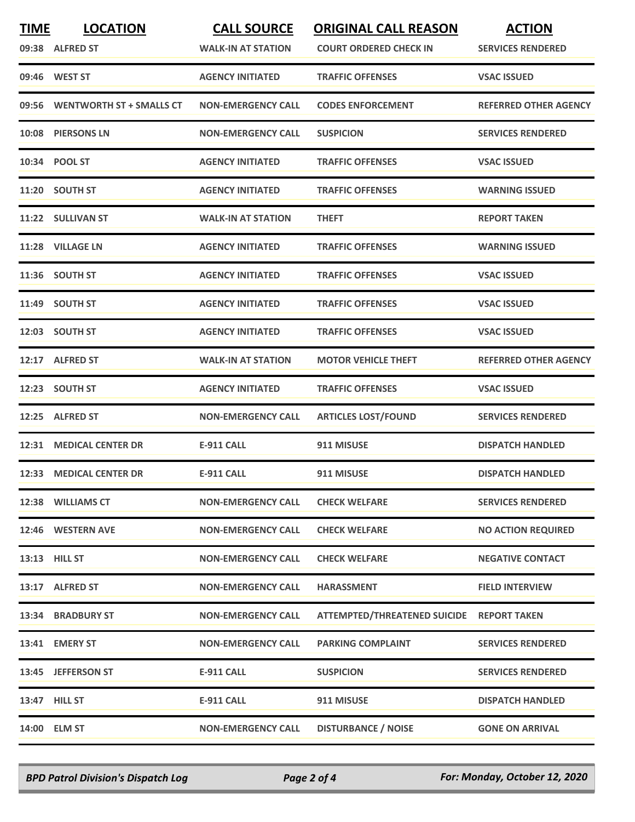| <b>TIME</b> | <b>LOCATION</b><br>09:38 ALFRED ST | <b>CALL SOURCE</b><br><b>WALK-IN AT STATION</b> | <b>ORIGINAL CALL REASON</b><br><b>COURT ORDERED CHECK IN</b> | <b>ACTION</b><br><b>SERVICES RENDERED</b> |
|-------------|------------------------------------|-------------------------------------------------|--------------------------------------------------------------|-------------------------------------------|
|             | 09:46 WEST ST                      | <b>AGENCY INITIATED</b>                         | <b>TRAFFIC OFFENSES</b>                                      | <b>VSAC ISSUED</b>                        |
| 09:56       | <b>WENTWORTH ST + SMALLS CT</b>    | <b>NON-EMERGENCY CALL</b>                       | <b>CODES ENFORCEMENT</b>                                     | <b>REFERRED OTHER AGENCY</b>              |
| 10:08       | <b>PIERSONS LN</b>                 | <b>NON-EMERGENCY CALL</b>                       | <b>SUSPICION</b>                                             | <b>SERVICES RENDERED</b>                  |
|             | 10:34 POOL ST                      | <b>AGENCY INITIATED</b>                         | <b>TRAFFIC OFFENSES</b>                                      | <b>VSAC ISSUED</b>                        |
|             | 11:20 SOUTH ST                     | <b>AGENCY INITIATED</b>                         | <b>TRAFFIC OFFENSES</b>                                      | <b>WARNING ISSUED</b>                     |
|             | 11:22 SULLIVAN ST                  | <b>WALK-IN AT STATION</b>                       | <b>THEFT</b>                                                 | <b>REPORT TAKEN</b>                       |
|             | 11:28 VILLAGE LN                   | <b>AGENCY INITIATED</b>                         | <b>TRAFFIC OFFENSES</b>                                      | <b>WARNING ISSUED</b>                     |
|             | 11:36 SOUTH ST                     | <b>AGENCY INITIATED</b>                         | <b>TRAFFIC OFFENSES</b>                                      | <b>VSAC ISSUED</b>                        |
|             | 11:49 SOUTH ST                     | <b>AGENCY INITIATED</b>                         | <b>TRAFFIC OFFENSES</b>                                      | <b>VSAC ISSUED</b>                        |
|             | 12:03 SOUTH ST                     | <b>AGENCY INITIATED</b>                         | <b>TRAFFIC OFFENSES</b>                                      | <b>VSAC ISSUED</b>                        |
|             | 12:17 ALFRED ST                    | <b>WALK-IN AT STATION</b>                       | <b>MOTOR VEHICLE THEFT</b>                                   | <b>REFERRED OTHER AGENCY</b>              |
|             | 12:23 SOUTH ST                     | <b>AGENCY INITIATED</b>                         | <b>TRAFFIC OFFENSES</b>                                      | <b>VSAC ISSUED</b>                        |
| 12:25       | <b>ALFRED ST</b>                   | <b>NON-EMERGENCY CALL</b>                       | <b>ARTICLES LOST/FOUND</b>                                   | <b>SERVICES RENDERED</b>                  |
|             | 12:31 MEDICAL CENTER DR            | <b>E-911 CALL</b>                               | 911 MISUSE                                                   | <b>DISPATCH HANDLED</b>                   |
|             | 12:33 MEDICAL CENTER DR            | <b>E-911 CALL</b>                               | 911 MISUSE                                                   | <b>DISPATCH HANDLED</b>                   |
|             | 12:38 WILLIAMS CT                  | <b>NON-EMERGENCY CALL</b>                       | <b>CHECK WELFARE</b>                                         | <b>SERVICES RENDERED</b>                  |
|             | 12:46 WESTERN AVE                  | <b>NON-EMERGENCY CALL</b>                       | <b>CHECK WELFARE</b>                                         | <b>NO ACTION REQUIRED</b>                 |
|             | 13:13 HILL ST                      | <b>NON-EMERGENCY CALL</b>                       | <b>CHECK WELFARE</b>                                         | <b>NEGATIVE CONTACT</b>                   |
|             | 13:17 ALFRED ST                    | <b>NON-EMERGENCY CALL</b>                       | <b>HARASSMENT</b>                                            | <b>FIELD INTERVIEW</b>                    |
|             | 13:34 BRADBURY ST                  | <b>NON-EMERGENCY CALL</b>                       | ATTEMPTED/THREATENED SUICIDE REPORT TAKEN                    |                                           |
|             | 13:41 EMERY ST                     | <b>NON-EMERGENCY CALL</b>                       | <b>PARKING COMPLAINT</b>                                     | <b>SERVICES RENDERED</b>                  |
|             | 13:45 JEFFERSON ST                 | <b>E-911 CALL</b>                               | <b>SUSPICION</b>                                             | <b>SERVICES RENDERED</b>                  |
|             | 13:47 HILL ST                      | E-911 CALL                                      | 911 MISUSE                                                   | <b>DISPATCH HANDLED</b>                   |
|             | 14:00 ELM ST                       | <b>NON-EMERGENCY CALL</b>                       | <b>DISTURBANCE / NOISE</b>                                   | <b>GONE ON ARRIVAL</b>                    |

*BPD Patrol Division's Dispatch Log Page 2 of 4 For: Monday, October 12, 2020*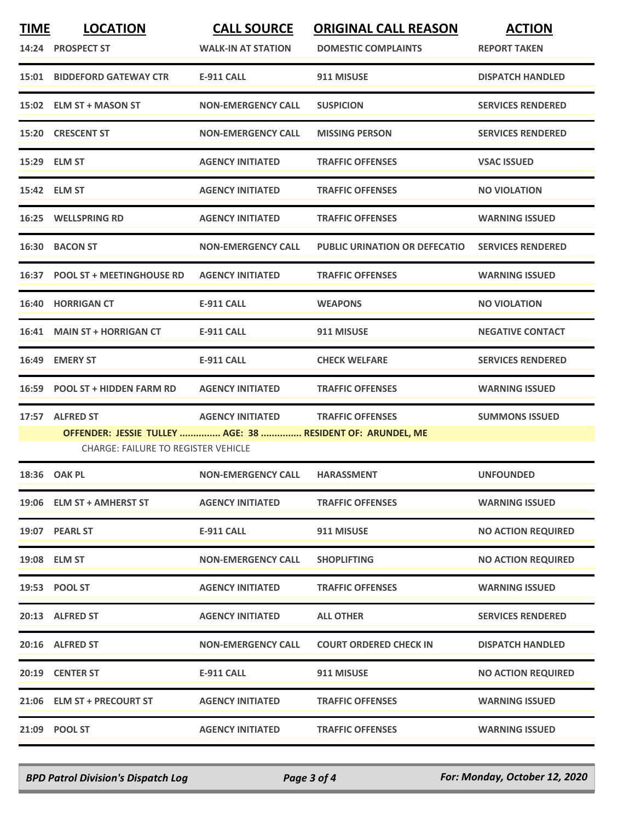| <b>TIME</b> | <b>LOCATION</b><br>14:24 PROSPECT ST                                                                                         | <b>CALL SOURCE</b><br><b>WALK-IN AT STATION</b> | <b>ORIGINAL CALL REASON</b><br><b>DOMESTIC COMPLAINTS</b> | <b>ACTION</b><br><b>REPORT TAKEN</b> |
|-------------|------------------------------------------------------------------------------------------------------------------------------|-------------------------------------------------|-----------------------------------------------------------|--------------------------------------|
|             | <b>15:01 BIDDEFORD GATEWAY CTR</b>                                                                                           | <b>E-911 CALL</b>                               | 911 MISUSE                                                | <b>DISPATCH HANDLED</b>              |
|             | 15:02 ELM ST + MASON ST                                                                                                      | <b>NON-EMERGENCY CALL</b>                       | <b>SUSPICION</b>                                          | <b>SERVICES RENDERED</b>             |
|             | 15:20 CRESCENT ST                                                                                                            | <b>NON-EMERGENCY CALL</b>                       | <b>MISSING PERSON</b>                                     | <b>SERVICES RENDERED</b>             |
|             | 15:29 ELM ST                                                                                                                 | <b>AGENCY INITIATED</b>                         | <b>TRAFFIC OFFENSES</b>                                   | <b>VSAC ISSUED</b>                   |
|             | 15:42 ELM ST                                                                                                                 | <b>AGENCY INITIATED</b>                         | <b>TRAFFIC OFFENSES</b>                                   | <b>NO VIOLATION</b>                  |
| 16:25       | <b>WELLSPRING RD</b>                                                                                                         | <b>AGENCY INITIATED</b>                         | <b>TRAFFIC OFFENSES</b>                                   | <b>WARNING ISSUED</b>                |
|             | 16:30 BACON ST                                                                                                               | <b>NON-EMERGENCY CALL</b>                       | <b>PUBLIC URINATION OR DEFECATIO</b>                      | <b>SERVICES RENDERED</b>             |
|             | 16:37 POOL ST + MEETINGHOUSE RD                                                                                              | <b>AGENCY INITIATED</b>                         | <b>TRAFFIC OFFENSES</b>                                   | <b>WARNING ISSUED</b>                |
|             | 16:40 HORRIGAN CT                                                                                                            | <b>E-911 CALL</b>                               | <b>WEAPONS</b>                                            | <b>NO VIOLATION</b>                  |
|             | 16:41 MAIN ST + HORRIGAN CT                                                                                                  | <b>E-911 CALL</b>                               | 911 MISUSE                                                | <b>NEGATIVE CONTACT</b>              |
|             | 16:49 EMERY ST                                                                                                               | <b>E-911 CALL</b>                               | <b>CHECK WELFARE</b>                                      | <b>SERVICES RENDERED</b>             |
|             | 16:59 POOL ST + HIDDEN FARM RD                                                                                               | <b>AGENCY INITIATED</b>                         | <b>TRAFFIC OFFENSES</b>                                   | <b>WARNING ISSUED</b>                |
| 17:57       | <b>ALFRED ST</b><br>OFFENDER: JESSIE TULLEY  AGE: 38  RESIDENT OF: ARUNDEL, ME<br><b>CHARGE: FAILURE TO REGISTER VEHICLE</b> | <b>AGENCY INITIATED</b>                         | <b>TRAFFIC OFFENSES</b>                                   | <b>SUMMONS ISSUED</b>                |
|             | 18:36 OAK PL                                                                                                                 | <b>NON-EMERGENCY CALL</b>                       | <b>HARASSMENT</b>                                         | <b>UNFOUNDED</b>                     |
|             | 19:06 ELM ST + AMHERST ST                                                                                                    | <b>AGENCY INITIATED</b>                         | <b>TRAFFIC OFFENSES</b>                                   | <b>WARNING ISSUED</b>                |
|             | 19:07 PEARL ST                                                                                                               | <b>E-911 CALL</b>                               | 911 MISUSE                                                | <b>NO ACTION REQUIRED</b>            |
|             | 19:08 ELM ST                                                                                                                 | <b>NON-EMERGENCY CALL</b>                       | <b>SHOPLIFTING</b>                                        | <b>NO ACTION REQUIRED</b>            |
|             | 19:53 POOL ST                                                                                                                | <b>AGENCY INITIATED</b>                         | <b>TRAFFIC OFFENSES</b>                                   | <b>WARNING ISSUED</b>                |
|             | 20:13 ALFRED ST                                                                                                              | <b>AGENCY INITIATED</b>                         | <b>ALL OTHER</b>                                          | <b>SERVICES RENDERED</b>             |
|             | 20:16 ALFRED ST                                                                                                              | <b>NON-EMERGENCY CALL</b>                       | <b>COURT ORDERED CHECK IN</b>                             | <b>DISPATCH HANDLED</b>              |
|             | 20:19 CENTER ST                                                                                                              | E-911 CALL                                      | 911 MISUSE                                                | <b>NO ACTION REQUIRED</b>            |
|             | 21:06 ELM ST + PRECOURT ST                                                                                                   | <b>AGENCY INITIATED</b>                         | <b>TRAFFIC OFFENSES</b>                                   | <b>WARNING ISSUED</b>                |
|             | 21:09 POOL ST                                                                                                                | <b>AGENCY INITIATED</b>                         | <b>TRAFFIC OFFENSES</b>                                   | <b>WARNING ISSUED</b>                |

*BPD Patrol Division's Dispatch Log Page 3 of 4 For: Monday, October 12, 2020*